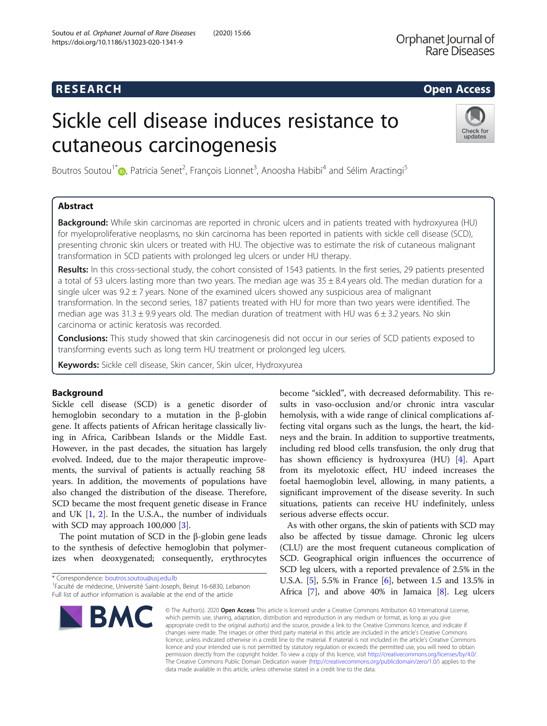## **RESEARCH CHILD CONTROL** CONTROL CONTROL CONTROL CONTROL CONTROL CONTROL CONTROL CONTROL CONTROL CONTROL CONTROL CONTROL CONTROL CONTROL CONTROL CONTROL CONTROL CONTROL CONTROL CONTROL CONTROL CONTROL CONTROL CONTROL CONTR

# Sickle cell disease induces resistance to cutaneous carcinogenesis



Boutros Soutou<sup>1[\\*](http://orcid.org/0000-0002-3906-7021)</sup>®, Patricia Senet<sup>2</sup>, François Lionnet<sup>3</sup>, Anoosha Habibi<sup>4</sup> and Sélim Aractingi<sup>5</sup>

### Abstract

Background: While skin carcinomas are reported in chronic ulcers and in patients treated with hydroxyurea (HU) for myeloproliferative neoplasms, no skin carcinoma has been reported in patients with sickle cell disease (SCD), presenting chronic skin ulcers or treated with HU. The objective was to estimate the risk of cutaneous malignant transformation in SCD patients with prolonged leg ulcers or under HU therapy.

Results: In this cross-sectional study, the cohort consisted of 1543 patients. In the first series, 29 patients presented a total of 53 ulcers lasting more than two years. The median age was  $35 \pm 8.4$  years old. The median duration for a single ulcer was  $9.2 \pm 7$  years. None of the examined ulcers showed any suspicious area of malignant transformation. In the second series, 187 patients treated with HU for more than two years were identified. The median age was  $31.3 \pm 9.9$  years old. The median duration of treatment with HU was  $6 \pm 3.2$  years. No skin carcinoma or actinic keratosis was recorded.

Conclusions: This study showed that skin carcinogenesis did not occur in our series of SCD patients exposed to transforming events such as long term HU treatment or prolonged leg ulcers.

Keywords: Sickle cell disease, Skin cancer, Skin ulcer, Hydroxyurea

### Background

Sickle cell disease (SCD) is a genetic disorder of hemoglobin secondary to a mutation in the β-globin gene. It affects patients of African heritage classically living in Africa, Caribbean Islands or the Middle East. However, in the past decades, the situation has largely evolved. Indeed, due to the major therapeutic improvements, the survival of patients is actually reaching 58 years. In addition, the movements of populations have also changed the distribution of the disease. Therefore, SCD became the most frequent genetic disease in France and UK [\[1](#page-4-0), [2](#page-4-0)]. In the U.S.A., the number of individuals with SCD may approach 100,000 [[3\]](#page-4-0).

The point mutation of SCD in the β-globin gene leads to the synthesis of defective hemoglobin that polymerizes when deoxygenated; consequently, erythrocytes

<sup>&</sup>lt;sup>1</sup>Faculté de médecine, Université Saint-Joseph, Beirut 16-6830, Lebanon Full list of author information is available at the end of the article



become "sickled", with decreased deformability. This results in vaso-occlusion and/or chronic intra vascular hemolysis, with a wide range of clinical complications affecting vital organs such as the lungs, the heart, the kidneys and the brain. In addition to supportive treatments, including red blood cells transfusion, the only drug that has shown efficiency is hydroxyurea (HU) [\[4\]](#page-4-0). Apart from its myelotoxic effect, HU indeed increases the foetal haemoglobin level, allowing, in many patients, a significant improvement of the disease severity. In such situations, patients can receive HU indefinitely, unless serious adverse effects occur.

As with other organs, the skin of patients with SCD may also be affected by tissue damage. Chronic leg ulcers (CLU) are the most frequent cutaneous complication of SCD. Geographical origin influences the occurrence of SCD leg ulcers, with a reported prevalence of 2.5% in the U.S.A. [[5\]](#page-4-0), 5.5% in France [\[6](#page-4-0)], between 1.5 and 13.5% in Africa [\[7\]](#page-4-0), and above 40% in Jamaica [[8\]](#page-4-0). Leg ulcers

© The Author(s). 2020 Open Access This article is licensed under a Creative Commons Attribution 4.0 International License, which permits use, sharing, adaptation, distribution and reproduction in any medium or format, as long as you give appropriate credit to the original author(s) and the source, provide a link to the Creative Commons licence, and indicate if changes were made. The images or other third party material in this article are included in the article's Creative Commons licence, unless indicated otherwise in a credit line to the material. If material is not included in the article's Creative Commons licence and your intended use is not permitted by statutory regulation or exceeds the permitted use, you will need to obtain permission directly from the copyright holder. To view a copy of this licence, visit [http://creativecommons.org/licenses/by/4.0/.](http://creativecommons.org/licenses/by/4.0/) The Creative Commons Public Domain Dedication waiver [\(http://creativecommons.org/publicdomain/zero/1.0/](http://creativecommons.org/publicdomain/zero/1.0/)) applies to the data made available in this article, unless otherwise stated in a credit line to the data.

<sup>\*</sup> Correspondence: [boutros.soutou@usj.edu.lb](mailto:boutros.soutou@usj.edu.lb) <sup>1</sup>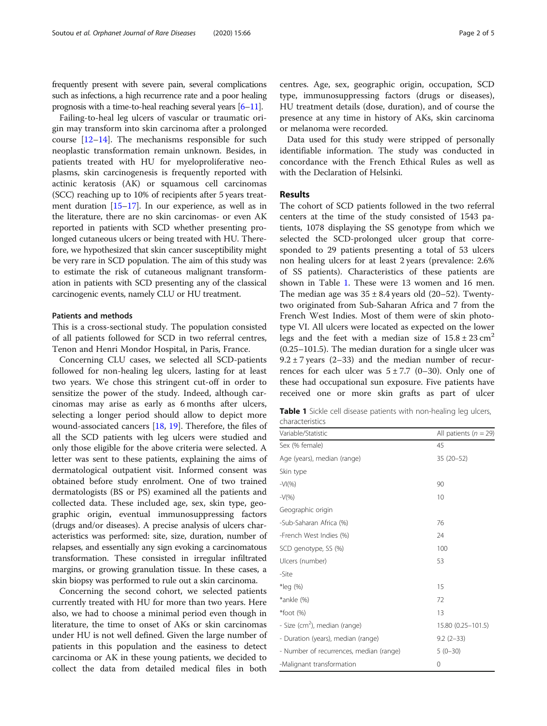frequently present with severe pain, several complications such as infections, a high recurrence rate and a poor healing prognosis with a time-to-heal reaching several years  $[6-11]$  $[6-11]$  $[6-11]$ .

Failing-to-heal leg ulcers of vascular or traumatic origin may transform into skin carcinoma after a prolonged course [[12](#page-4-0)–[14](#page-4-0)]. The mechanisms responsible for such neoplastic transformation remain unknown. Besides, in patients treated with HU for myeloproliferative neoplasms, skin carcinogenesis is frequently reported with actinic keratosis (AK) or squamous cell carcinomas (SCC) reaching up to 10% of recipients after 5 years treatment duration [\[15](#page-4-0)–[17](#page-4-0)]. In our experience, as well as in the literature, there are no skin carcinomas- or even AK reported in patients with SCD whether presenting prolonged cutaneous ulcers or being treated with HU. Therefore, we hypothesized that skin cancer susceptibility might be very rare in SCD population. The aim of this study was to estimate the risk of cutaneous malignant transformation in patients with SCD presenting any of the classical carcinogenic events, namely CLU or HU treatment.

### Patients and methods

This is a cross-sectional study. The population consisted of all patients followed for SCD in two referral centres, Tenon and Henri Mondor Hospital, in Paris, France.

Concerning CLU cases, we selected all SCD-patients followed for non-healing leg ulcers, lasting for at least two years. We chose this stringent cut-off in order to sensitize the power of the study. Indeed, although carcinomas may arise as early as 6 months after ulcers, selecting a longer period should allow to depict more wound-associated cancers [[18,](#page-4-0) [19\]](#page-4-0). Therefore, the files of all the SCD patients with leg ulcers were studied and only those eligible for the above criteria were selected. A letter was sent to these patients, explaining the aims of dermatological outpatient visit. Informed consent was obtained before study enrolment. One of two trained dermatologists (BS or PS) examined all the patients and collected data. These included age, sex, skin type, geographic origin, eventual immunosuppressing factors (drugs and/or diseases). A precise analysis of ulcers characteristics was performed: site, size, duration, number of relapses, and essentially any sign evoking a carcinomatous transformation. These consisted in irregular infiltrated margins, or growing granulation tissue. In these cases, a skin biopsy was performed to rule out a skin carcinoma.

Concerning the second cohort, we selected patients currently treated with HU for more than two years. Here also, we had to choose a minimal period even though in literature, the time to onset of AKs or skin carcinomas under HU is not well defined. Given the large number of patients in this population and the easiness to detect carcinoma or AK in these young patients, we decided to collect the data from detailed medical files in both centres. Age, sex, geographic origin, occupation, SCD type, immunosuppressing factors (drugs or diseases), HU treatment details (dose, duration), and of course the presence at any time in history of AKs, skin carcinoma or melanoma were recorded.

Data used for this study were stripped of personally identifiable information. The study was conducted in concordance with the French Ethical Rules as well as with the Declaration of Helsinki.

### Results

The cohort of SCD patients followed in the two referral centers at the time of the study consisted of 1543 patients, 1078 displaying the SS genotype from which we selected the SCD-prolonged ulcer group that corresponded to 29 patients presenting a total of 53 ulcers non healing ulcers for at least 2 years (prevalence: 2.6% of SS patients). Characteristics of these patients are shown in Table 1. These were 13 women and 16 men. The median age was  $35 \pm 8.4$  years old (20–52). Twentytwo originated from Sub-Saharan Africa and 7 from the French West Indies. Most of them were of skin phototype VI. All ulcers were located as expected on the lower legs and the feet with a median size of  $15.8 \pm 23$  cm<sup>2</sup> (0.25–101.5). The median duration for a single ulcer was  $9.2 \pm 7$  years (2–33) and the median number of recurrences for each ulcer was  $5 \pm 7.7$  (0–30). Only one of these had occupational sun exposure. Five patients have received one or more skin grafts as part of ulcer

Table 1 Sickle cell disease patients with non-healing leg ulcers, characteristics

| Variable/Statistic                        | All patients ( $n = 29$ ) |
|-------------------------------------------|---------------------------|
| Sex (% female)                            | 45                        |
| Age (years), median (range)               | 35 (20-52)                |
| Skin type                                 |                           |
| $-VI(\%)$                                 | 90                        |
| $-V(\% )$                                 | 10                        |
| Geographic origin                         |                           |
| -Sub-Saharan Africa (%)                   | 76                        |
| -French West Indies (%)                   | 24                        |
| SCD genotype, SS (%)                      | 100                       |
| Ulcers (number)                           | 53                        |
| -Site                                     |                           |
| *leg (%)                                  | 15                        |
| *ankle (%)                                | 72                        |
| $*$ foot $(\%)$                           | 13                        |
| - Size (cm <sup>2</sup> ), median (range) | 15.80 (0.25-101.5)        |
| - Duration (years), median (range)        | $9.2(2-33)$               |
| - Number of recurrences, median (range)   | $5(0-30)$                 |
| -Malignant transformation                 | 0                         |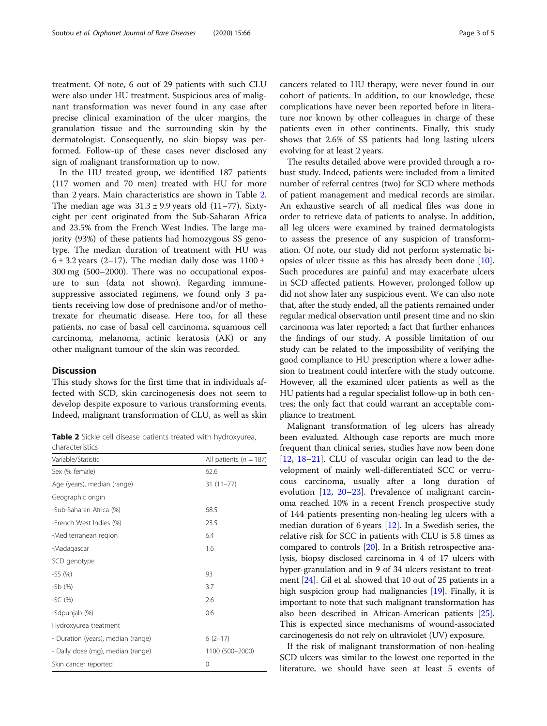treatment. Of note, 6 out of 29 patients with such CLU were also under HU treatment. Suspicious area of malignant transformation was never found in any case after precise clinical examination of the ulcer margins, the granulation tissue and the surrounding skin by the dermatologist. Consequently, no skin biopsy was performed. Follow-up of these cases never disclosed any sign of malignant transformation up to now.

In the HU treated group, we identified 187 patients (117 women and 70 men) treated with HU for more than 2 years. Main characteristics are shown in Table 2. The median age was  $31.3 \pm 9.9$  years old (11–77). Sixtyeight per cent originated from the Sub-Saharan Africa and 23.5% from the French West Indies. The large majority (93%) of these patients had homozygous SS genotype. The median duration of treatment with HU was  $6 \pm 3.2$  years (2–17). The median daily dose was 1100  $\pm$ 300 mg (500–2000). There was no occupational exposure to sun (data not shown). Regarding immunesuppressive associated regimens, we found only 3 patients receiving low dose of prednisone and/or of methotrexate for rheumatic disease. Here too, for all these patients, no case of basal cell carcinoma, squamous cell carcinoma, melanoma, actinic keratosis (AK) or any other malignant tumour of the skin was recorded.

### **Discussion**

This study shows for the first time that in individuals affected with SCD, skin carcinogenesis does not seem to develop despite exposure to various transforming events. Indeed, malignant transformation of CLU, as well as skin

**Table 2** Sickle cell disease patients treated with hydroxyurea, characteristics

| Variable/Statistic                 | All patients ( $n = 187$ ) |
|------------------------------------|----------------------------|
| Sex (% female)                     | 62.6                       |
| Age (years), median (range)        | $31(11-77)$                |
| Geographic origin                  |                            |
| -Sub-Saharan Africa (%)            | 68.5                       |
| -French West Indies (%)            | 23.5                       |
| -Mediterranean region              | 6.4                        |
| -Madagascar                        | 1.6                        |
| SCD genotype                       |                            |
| $-SS(%)$                           | 93                         |
| $-Sb(%)$                           | 3.7                        |
| $-SC(%)$                           | 2.6                        |
| -Sdpunjab (%)                      | 0.6                        |
| Hydroxyurea treatment              |                            |
| - Duration (years), median (range) | $6(2-17)$                  |
| - Daily dose (mg), median (range)  | 1100 (500-2000)            |
| Skin cancer reported               | 0                          |

cancers related to HU therapy, were never found in our cohort of patients. In addition, to our knowledge, these complications have never been reported before in literature nor known by other colleagues in charge of these patients even in other continents. Finally, this study shows that 2.6% of SS patients had long lasting ulcers evolving for at least 2 years.

The results detailed above were provided through a robust study. Indeed, patients were included from a limited number of referral centres (two) for SCD where methods of patient management and medical records are similar. An exhaustive search of all medical files was done in order to retrieve data of patients to analyse. In addition, all leg ulcers were examined by trained dermatologists to assess the presence of any suspicion of transformation. Of note, our study did not perform systematic biopsies of ulcer tissue as this has already been done [\[10](#page-4-0)]. Such procedures are painful and may exacerbate ulcers in SCD affected patients. However, prolonged follow up did not show later any suspicious event. We can also note that, after the study ended, all the patients remained under regular medical observation until present time and no skin carcinoma was later reported; a fact that further enhances the findings of our study. A possible limitation of our study can be related to the impossibility of verifying the good compliance to HU prescription where a lower adhesion to treatment could interfere with the study outcome. However, all the examined ulcer patients as well as the HU patients had a regular specialist follow-up in both centres; the only fact that could warrant an acceptable compliance to treatment.

Malignant transformation of leg ulcers has already been evaluated. Although case reports are much more frequent than clinical series, studies have now been done [[12,](#page-4-0) [18](#page-4-0)–[21](#page-4-0)]. CLU of vascular origin can lead to the development of mainly well-differentiated SCC or verrucous carcinoma, usually after a long duration of evolution [[12,](#page-4-0) [20](#page-4-0)–[23](#page-4-0)]. Prevalence of malignant carcinoma reached 10% in a recent French prospective study of 144 patients presenting non-healing leg ulcers with a median duration of 6 years [\[12](#page-4-0)]. In a Swedish series, the relative risk for SCC in patients with CLU is 5.8 times as compared to controls [[20](#page-4-0)]. In a British retrospective analysis, biopsy disclosed carcinoma in 4 of 17 ulcers with hyper-granulation and in 9 of 34 ulcers resistant to treatment [\[24](#page-4-0)]. Gil et al. showed that 10 out of 25 patients in a high suspicion group had malignancies [\[19\]](#page-4-0). Finally, it is important to note that such malignant transformation has also been described in African-American patients [[25](#page-4-0)]. This is expected since mechanisms of wound-associated carcinogenesis do not rely on ultraviolet (UV) exposure.

If the risk of malignant transformation of non-healing SCD ulcers was similar to the lowest one reported in the literature, we should have seen at least 5 events of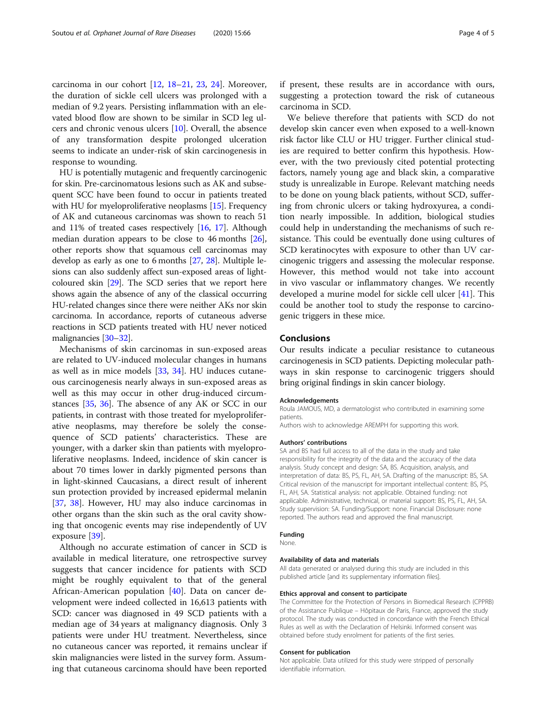carcinoma in our cohort [\[12](#page-4-0), [18](#page-4-0)–[21,](#page-4-0) [23,](#page-4-0) [24](#page-4-0)]. Moreover, the duration of sickle cell ulcers was prolonged with a median of 9.2 years. Persisting inflammation with an elevated blood flow are shown to be similar in SCD leg ulcers and chronic venous ulcers [[10\]](#page-4-0). Overall, the absence of any transformation despite prolonged ulceration seems to indicate an under-risk of skin carcinogenesis in response to wounding.

HU is potentially mutagenic and frequently carcinogenic for skin. Pre-carcinomatous lesions such as AK and subsequent SCC have been found to occur in patients treated with HU for myeloproliferative neoplasms [\[15\]](#page-4-0). Frequency of AK and cutaneous carcinomas was shown to reach 51 and 11% of treated cases respectively [\[16,](#page-4-0) [17](#page-4-0)]. Although median duration appears to be close to 46 months [[26](#page-4-0)], other reports show that squamous cell carcinomas may develop as early as one to 6 months [\[27](#page-4-0), [28](#page-4-0)]. Multiple lesions can also suddenly affect sun-exposed areas of lightcoloured skin [[29](#page-4-0)]. The SCD series that we report here shows again the absence of any of the classical occurring HU-related changes since there were neither AKs nor skin carcinoma. In accordance, reports of cutaneous adverse reactions in SCD patients treated with HU never noticed malignancies [\[30](#page-4-0)–[32](#page-4-0)].

Mechanisms of skin carcinomas in sun-exposed areas are related to UV-induced molecular changes in humans as well as in mice models [[33,](#page-4-0) [34](#page-4-0)]. HU induces cutaneous carcinogenesis nearly always in sun-exposed areas as well as this may occur in other drug-induced circumstances [[35,](#page-4-0) [36](#page-4-0)]. The absence of any AK or SCC in our patients, in contrast with those treated for myeloproliferative neoplasms, may therefore be solely the consequence of SCD patients' characteristics. These are younger, with a darker skin than patients with myeloproliferative neoplasms. Indeed, incidence of skin cancer is about 70 times lower in darkly pigmented persons than in light-skinned Caucasians, a direct result of inherent sun protection provided by increased epidermal melanin [[37,](#page-4-0) [38](#page-4-0)]. However, HU may also induce carcinomas in other organs than the skin such as the oral cavity showing that oncogenic events may rise independently of UV exposure [\[39](#page-4-0)].

Although no accurate estimation of cancer in SCD is available in medical literature, one retrospective survey suggests that cancer incidence for patients with SCD might be roughly equivalent to that of the general African-American population [\[40\]](#page-4-0). Data on cancer development were indeed collected in 16,613 patients with SCD: cancer was diagnosed in 49 SCD patients with a median age of 34 years at malignancy diagnosis. Only 3 patients were under HU treatment. Nevertheless, since no cutaneous cancer was reported, it remains unclear if skin malignancies were listed in the survey form. Assuming that cutaneous carcinoma should have been reported

if present, these results are in accordance with ours, suggesting a protection toward the risk of cutaneous carcinoma in SCD.

We believe therefore that patients with SCD do not develop skin cancer even when exposed to a well-known risk factor like CLU or HU trigger. Further clinical studies are required to better confirm this hypothesis. However, with the two previously cited potential protecting factors, namely young age and black skin, a comparative study is unrealizable in Europe. Relevant matching needs to be done on young black patients, without SCD, suffering from chronic ulcers or taking hydroxyurea, a condition nearly impossible. In addition, biological studies could help in understanding the mechanisms of such resistance. This could be eventually done using cultures of SCD keratinocytes with exposure to other than UV carcinogenic triggers and assessing the molecular response. However, this method would not take into account in vivo vascular or inflammatory changes. We recently developed a murine model for sickle cell ulcer [\[41\]](#page-4-0). This could be another tool to study the response to carcinogenic triggers in these mice.

### Conclusions

Our results indicate a peculiar resistance to cutaneous carcinogenesis in SCD patients. Depicting molecular pathways in skin response to carcinogenic triggers should bring original findings in skin cancer biology.

### Acknowledgements

Roula JAMOUS, MD, a dermatologist who contributed in examining some patients.

Authors wish to acknowledge AREMPH for supporting this work.

### Authors' contributions

SA and BS had full access to all of the data in the study and take responsibility for the integrity of the data and the accuracy of the data analysis. Study concept and design: SA, BS. Acquisition, analysis, and interpretation of data: BS, PS, FL, AH, SA. Drafting of the manuscript: BS, SA. Critical revision of the manuscript for important intellectual content: BS, PS, FL, AH, SA. Statistical analysis: not applicable. Obtained funding: not applicable. Administrative, technical, or material support: BS, PS, FL, AH, SA. Study supervision: SA. Funding/Support: none. Financial Disclosure: none reported. The authors read and approved the final manuscript.

#### Funding None.

### Availability of data and materials

All data generated or analysed during this study are included in this published article [and its supplementary information files].

### Ethics approval and consent to participate

The Committee for the Protection of Persons in Biomedical Research (CPPRB) of the Assistance Publique – Hôpitaux de Paris, France, approved the study protocol. The study was conducted in concordance with the French Ethical Rules as well as with the Declaration of Helsinki. Informed consent was obtained before study enrolment for patients of the first series.

#### Consent for publication

Not applicable. Data utilized for this study were stripped of personally identifiable information.